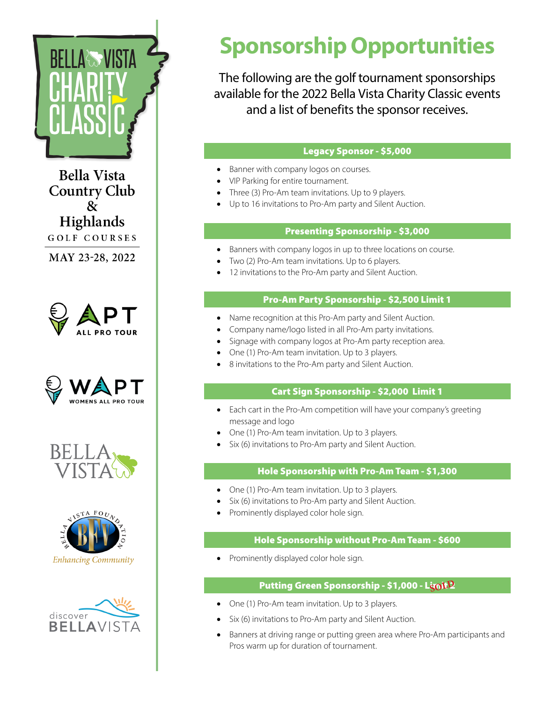

**Bella Vista Country Club**  $\mathbf{\alpha}$ Highlands GOLF COURSES

MAY 23-28, 2022











# **Sponsorship Opportunities**

The following are the golf tournament sponsorships available for the 2022 Bella Vista Charity Classic events and a list of benefits the sponsor receives.

# Legacy Sponsor - \$5,000

- Banner with company logos on courses.
- VIP Parking for entire tournament.
- Three (3) Pro-Am team invitations. Up to 9 players.
- • Up to 16 invitations to Pro-Am party and Silent Auction.

### Presenting Sponsorship - \$3,000

- Banners with company logos in up to three locations on course.
- Two (2) Pro-Am team invitations. Up to 6 players.
- 12 invitations to the Pro-Am party and Silent Auction.

#### Pro-Am Party Sponsorship - \$2,500 Limit 1

- Name recognition at this Pro-Am party and Silent Auction.
- Company name/logo listed in all Pro-Am party invitations.
- Signage with company logos at Pro-Am party reception area.
- One (1) Pro-Am team invitation. Up to 3 players.
- 8 invitations to the Pro-Am party and Silent Auction.

#### Cart Sign Sponsorship - \$2,000 Limit 1

- Each cart in the Pro-Am competition will have your company's greeting message and logo
- One (1) Pro-Am team invitation. Up to 3 players.
- Six (6) invitations to Pro-Am party and Silent Auction.

#### Hole Sponsorship with Pro-Am Team - \$1,300

- One (1) Pro-Am team invitation. Up to 3 players.
- Six (6) invitations to Pro-Am party and Silent Auction.
- Prominently displayed color hole sign.

#### Hole Sponsorship without Pro-Am Team - \$600

• Prominently displayed color hole sign.

# Putting Green Sponsorship - \$1,000 - L<mark>igoI: P</mark>

- One (1) Pro-Am team invitation. Up to 3 players.
- Six (6) invitations to Pro-Am party and Silent Auction.
- Banners at driving range or putting green area where Pro-Am participants and Pros warm up for duration of tournament.